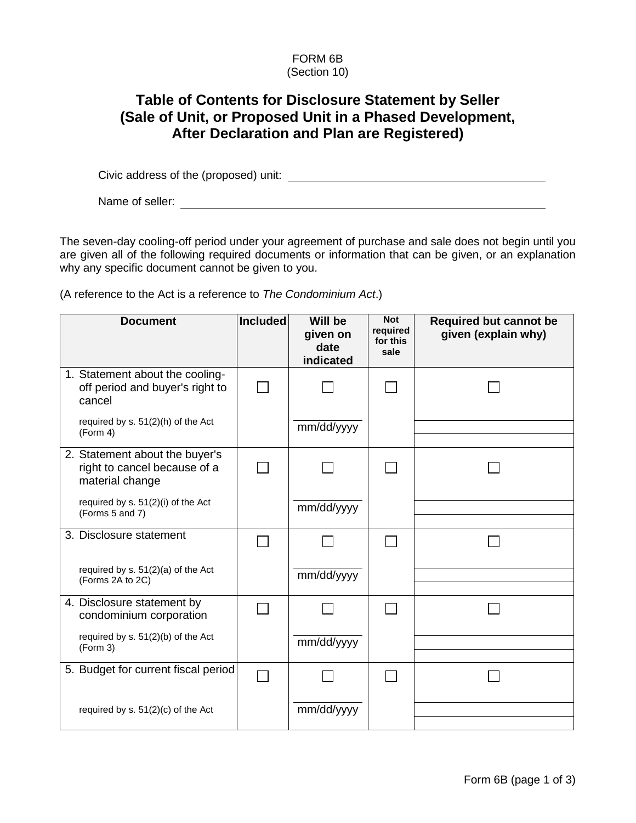## FORM 6B (Section 10)

## **Table of Contents for Disclosure Statement by Seller (Sale of Unit, or Proposed Unit in a Phased Development, After Declaration and Plan are Registered)**

Civic address of the (proposed) unit:

Name of seller:<br>
<u>Name</u> of seller:

The seven-day cooling-off period under your agreement of purchase and sale does not begin until you are given all of the following required documents or information that can be given, or an explanation why any specific document cannot be given to you.

(A reference to the Act is a reference to *The Condominium Act*.)

| <b>Document</b>                                                                   | Included | <b>Will be</b><br>given on<br>date<br>indicated | <b>Not</b><br>required<br>for this<br>sale | <b>Required but cannot be</b><br>given (explain why) |
|-----------------------------------------------------------------------------------|----------|-------------------------------------------------|--------------------------------------------|------------------------------------------------------|
| 1. Statement about the cooling-<br>off period and buyer's right to<br>cancel      |          |                                                 |                                            |                                                      |
| required by s. 51(2)(h) of the Act<br>(Form 4)                                    |          | mm/dd/yyyy                                      |                                            |                                                      |
| 2. Statement about the buyer's<br>right to cancel because of a<br>material change |          |                                                 |                                            |                                                      |
| required by s. 51(2)(i) of the Act<br>(Forms 5 and 7)                             |          | mm/dd/yyyy                                      |                                            |                                                      |
| 3. Disclosure statement                                                           |          |                                                 |                                            |                                                      |
| required by s. 51(2)(a) of the Act<br>(Forms 2A to 2C)                            |          | mm/dd/yyyy                                      |                                            |                                                      |
| 4. Disclosure statement by<br>condominium corporation                             |          |                                                 |                                            |                                                      |
| required by s. 51(2)(b) of the Act<br>(Form 3)                                    |          | mm/dd/yyyy                                      |                                            |                                                      |
| 5. Budget for current fiscal period                                               |          |                                                 |                                            |                                                      |
| required by s. 51(2)(c) of the Act                                                |          | mm/dd/yyyy                                      |                                            |                                                      |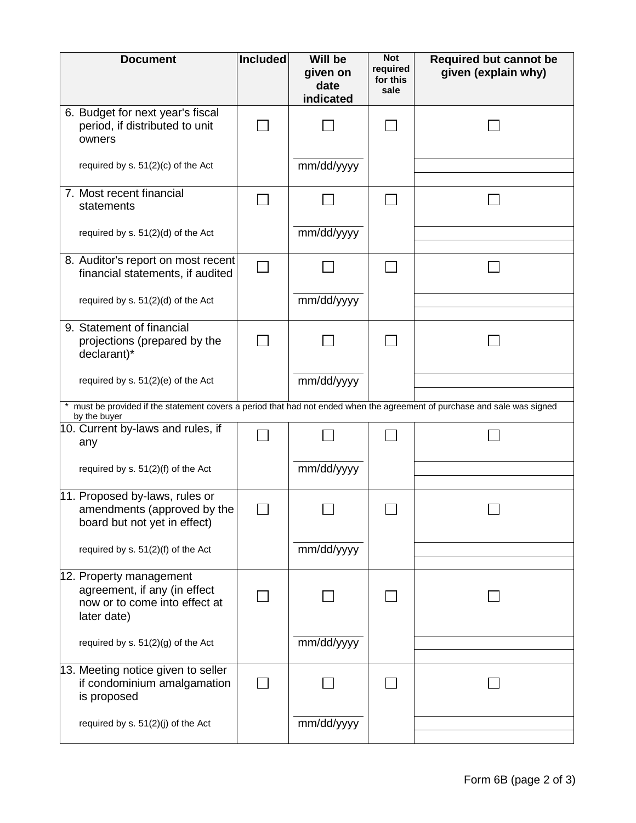| <b>Document</b>                                                                                                                           | <b>Included</b> | Will be<br>given on<br>date<br>indicated | <b>Not</b><br>required<br>for this<br>sale | <b>Required but cannot be</b><br>given (explain why) |  |  |
|-------------------------------------------------------------------------------------------------------------------------------------------|-----------------|------------------------------------------|--------------------------------------------|------------------------------------------------------|--|--|
| 6. Budget for next year's fiscal<br>period, if distributed to unit<br>owners                                                              |                 |                                          |                                            |                                                      |  |  |
| required by s. 51(2)(c) of the Act                                                                                                        |                 | mm/dd/yyyy                               |                                            |                                                      |  |  |
| 7. Most recent financial<br>statements                                                                                                    |                 |                                          |                                            |                                                      |  |  |
| required by s. 51(2)(d) of the Act                                                                                                        |                 | mm/dd/yyyy                               |                                            |                                                      |  |  |
| 8. Auditor's report on most recent<br>financial statements, if audited                                                                    |                 |                                          |                                            |                                                      |  |  |
| required by s. 51(2)(d) of the Act                                                                                                        |                 | mm/dd/yyyy                               |                                            |                                                      |  |  |
| 9. Statement of financial<br>projections (prepared by the<br>declarant)*                                                                  |                 |                                          |                                            |                                                      |  |  |
| required by s. 51(2)(e) of the Act                                                                                                        |                 | mm/dd/yyyy                               |                                            |                                                      |  |  |
| * must be provided if the statement covers a period that had not ended when the agreement of purchase and sale was signed<br>by the buyer |                 |                                          |                                            |                                                      |  |  |
| 10. Current by-laws and rules, if<br>any                                                                                                  |                 |                                          |                                            |                                                      |  |  |
| required by s. 51(2)(f) of the Act                                                                                                        |                 | mm/dd/yyyy                               |                                            |                                                      |  |  |
| 11. Proposed by-laws, rules or<br>amendments (approved by the<br>board but not yet in effect)                                             |                 |                                          |                                            |                                                      |  |  |
| required by s. 51(2)(f) of the Act                                                                                                        |                 | mm/dd/yyyy                               |                                            |                                                      |  |  |
| 12. Property management<br>agreement, if any (in effect<br>now or to come into effect at<br>later date)                                   |                 |                                          |                                            |                                                      |  |  |
| required by s. $51(2)(g)$ of the Act                                                                                                      |                 | mm/dd/yyyy                               |                                            |                                                      |  |  |
| 13. Meeting notice given to seller<br>if condominium amalgamation<br>is proposed                                                          |                 |                                          |                                            |                                                      |  |  |
| required by s. 51(2)(j) of the Act                                                                                                        |                 | mm/dd/yyyy                               |                                            |                                                      |  |  |